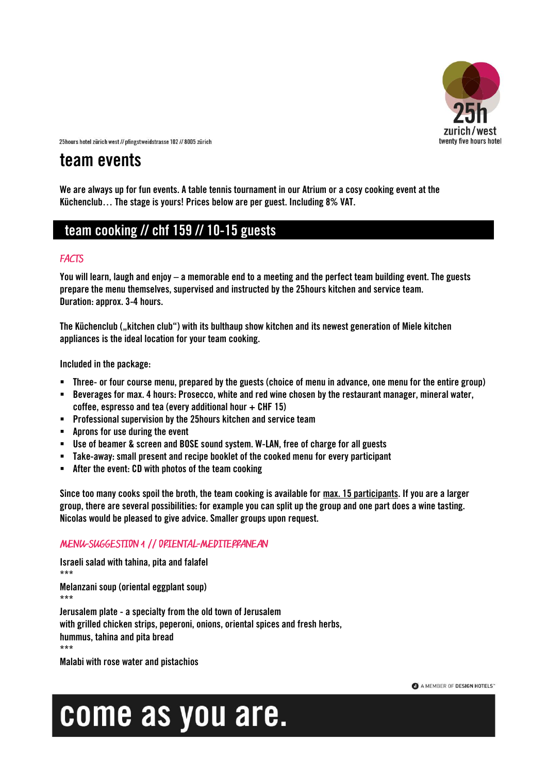

## **team events**

**We are always up for fun events. A table tennis tournament in our Atrium or a cosy cooking event at the Küchenclub… The stage is yours! Prices below are per guest. Including 8% VAT.**

### **team cooking // chf 159 // 10-15 guests**

### **FACTS**

**You will learn, laugh and enjoy – a memorable end to a meeting and the perfect team building event. The guests prepare the menu themselves, supervised and instructed by the 25hours kitchen and service team. Duration: approx. 3-4 hours.**

**The Küchenclub ("kitchen club") with its bulthaup show kitchen and its newest generation of Miele kitchen appliances is the ideal location for your team cooking.**

**Included in the package:**

- **Three- or four course menu, prepared by the guests (choice of menu in advance, one menu for the entire group)**
- **Beverages for max. 4 hours: Prosecco, white and red wine chosen by the restaurant manager, mineral water, coffee, espresso and tea (every additional hour + CHF 15)**
- **Professional supervision by the 25hours kitchen and service team**
- **Aprons for use during the event**
- **Use of beamer & screen and BOSE sound system. W-LAN, free of charge for all guests**
- **Take-away: small present and recipe booklet of the cooked menu for every participant**
- **After the event: CD with photos of the team cooking**

**Since too many cooks spoil the broth, the team cooking is available for max. 15 participants. If you are a larger group, there are several possibilities: for example you can split up the group and one part does a wine tasting. Nicolas would be pleased to give advice. Smaller groups upon request.**

### MENU-SUGGESTION 1 // OPIENTAL-MEDITEPPANEAN

**Israeli salad with tahina, pita and falafel \*\*\* Melanzani soup (oriental eggplant soup) \*\*\* Jerusalem plate - a specialty from the old town of Jerusalem with grilled chicken strips, peperoni, onions, oriental spices and fresh herbs, hummus, tahina and pita bread \*\*\***

**Malabi with rose water and pistachios**

#### A MEMBER OF DESIGN HOTELS"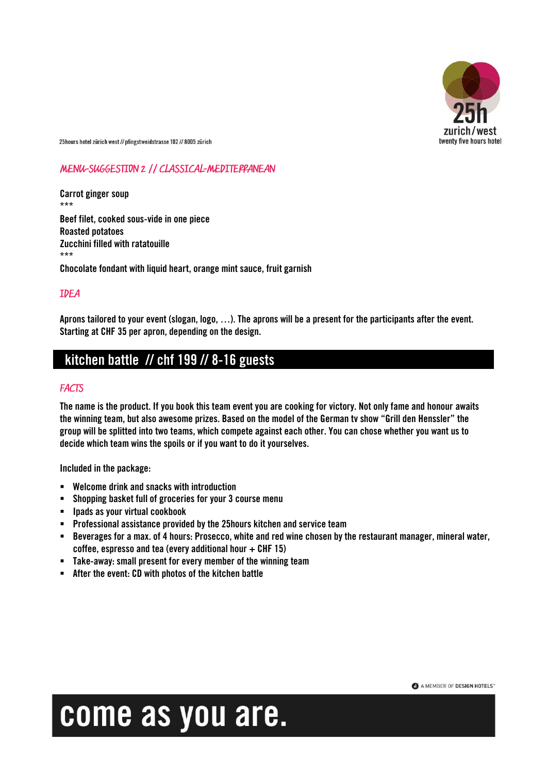

### MENU-SUGGESTION 2 // CLASSICAL-MEDITEPPANEAN

**Carrot ginger soup \*\*\* Beef filet, cooked sous-vide in one piece Roasted potatoes Zucchini filled with ratatouille \*\*\* Chocolate fondant with liquid heart, orange mint sauce, fruit garnish**

### **IDEA**

**Aprons tailored to your event (slogan, logo, …). The aprons will be a present for the participants after the event. Starting at CHF 35 per apron, depending on the design.**

### **kitchen battle // chf 199 // 8-16 guests**

#### **FACTS**

**The name is the product. If you book this team event you are cooking for victory. Not only fame and honour awaits the winning team, but also awesome prizes. Based on the model of the German tv show "Grill den Henssler" the group will be splitted into two teams, which compete against each other. You can chose whether you want us to decide which team wins the spoils or if you want to do it yourselves.**

**Included in the package:**

- **Welcome drink and snacks with introduction**
- **Shopping basket full of groceries for your 3 course menu**
- **Ipads as your virtual cookbook**
- **Professional assistance provided by the 25hours kitchen and service team**
- **Beverages for a max. of 4 hours: Prosecco, white and red wine chosen by the restaurant manager, mineral water, coffee, espresso and tea (every additional hour + CHF 15)**
- **Take-away: small present for every member of the winning team**
- **After the event: CD with photos of the kitchen battle**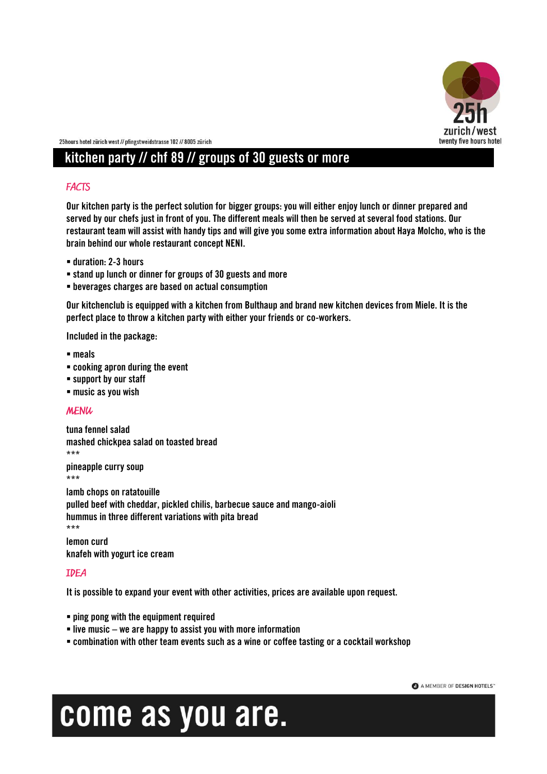

## **kitchen party // chf 89 // groups of 30 guests or more**

### **FACTS**

**Our kitchen party is the perfect solution for bigger groups: you will either enjoy lunch or dinner prepared and served by our chefs just in front of you. The different meals will then be served at several food stations. Our restaurant team will assist with handy tips and will give you some extra information about Haya Molcho, who is the brain behind our whole restaurant concept NENI.**

- **duration: 2-3 hours**
- **stand up lunch or dinner for groups of 30 guests and more**
- **beverages charges are based on actual consumption**

**Our kitchenclub is equipped with a kitchen from Bulthaup and brand new kitchen devices from Miele. It is the perfect place to throw a kitchen party with either your friends or co-workers.**

**Included in the package:**

- **meals**
- **cooking apron during the event**
- **support by our staff**
- **music as you wish**

#### **MENU**

**tuna fennel salad mashed chickpea salad on toasted bread \*\*\***

**pineapple curry soup \*\*\***

**lamb chops on ratatouille pulled beef with cheddar, pickled chilis, barbecue sauce and mango-aioli hummus in three different variations with pita bread \*\*\***

**lemon curd knafeh with yogurt ice cream**

### **IDEA**

**It is possible to expand your event with other activities, prices are available upon request.**

- **ping pong with the equipment required**
- **live music – we are happy to assist you with more information**
- **combination with other team events such as a wine or coffee tasting or a cocktail workshop**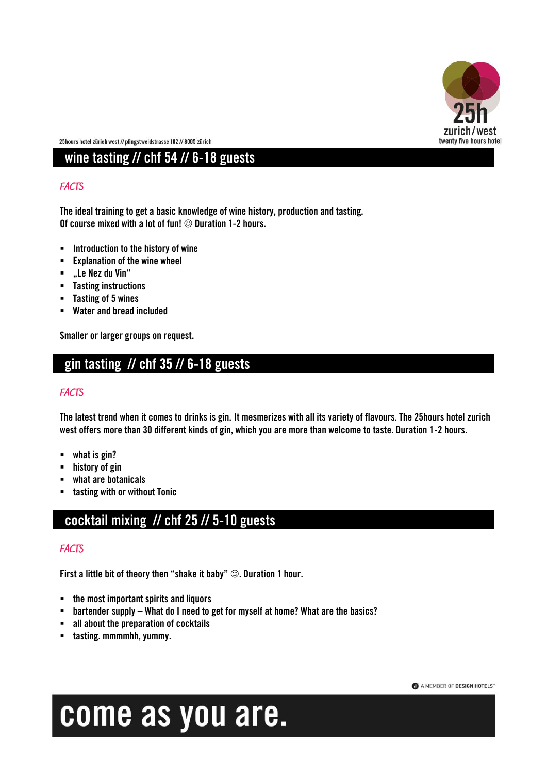

## **wine tasting // chf 54 // 6-18 guests**

### **FACTS**

**The ideal training to get a basic knowledge of wine history, production and tasting. Of course mixed with a lot of fun!**  $\odot$  **Duration 1-2 hours.** 

- **Introduction to the history of wine**
- **Explanation of the wine wheel**
- **"Le Nez du Vin"**
- **Tasting instructions**
- **Tasting of 5 wines**
- **Water and bread included**

**Smaller or larger groups on request.**

### **gin tasting // chf 35 // 6-18 guests**

#### **FACTS**

**The latest trend when it comes to drinks is gin. It mesmerizes with all its variety of flavours. The 25hours hotel zurich west offers more than 30 different kinds of gin, which you are more than welcome to taste. Duration 1-2 hours.**

- **what is gin?**
- **history of gin**
- **what are botanicals**
- **tasting with or without Tonic**

## **cocktail mixing // chf 25 // 5-10 guests**

#### **FACTS**

**First a little bit of theory then "shake it baby" . Duration 1 hour.**

- **the most important spirits and liquors**
- **bartender supply – What do I need to get for myself at home? What are the basics?**
- **all about the preparation of cocktails**
- **tasting. mmmmhh, yummy.**

### A MEMBER OF DESIGN HOTELS"